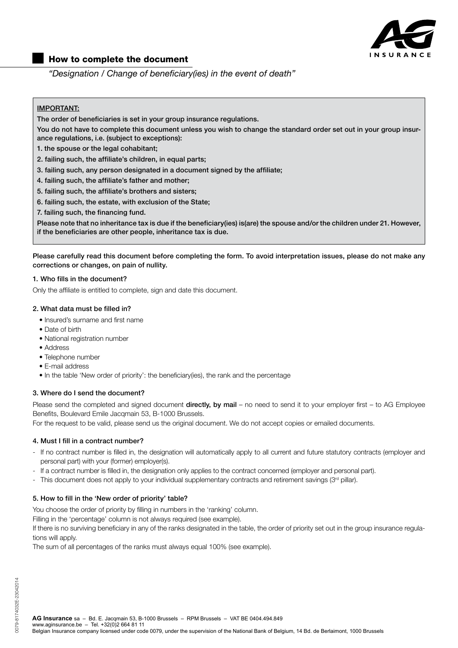

# How to complete the document

"Designation / Change of beneficiary(ies) in the event of death"

# IMPORTANT:

The order of beneficiaries is set in your group insurance regulations.

You do not have to complete this document unless you wish to change the standard order set out in your group insurance regulations, i.e. (subject to exceptions):

- 1. the spouse or the legal cohabitant;
- 2. failing such, the affiliate's children, in equal parts;
- 3. failing such, any person designated in a document signed by the affiliate;
- 4. failing such, the affiliate's father and mother;
- 5. failing such, the affiliate's brothers and sisters;
- 6. failing such, the estate, with exclusion of the State;
- 7. failing such, the financing fund.

Please note that no inheritance tax is due if the beneficiary(ies) is(are) the spouse and/or the children under 21. However, if the beneficiaries are other people, inheritance tax is due.

Please carefully read this document before completing the form. To avoid interpretation issues, please do not make any corrections or changes, on pain of nullity.

### 1. Who fills in the document?

Only the affiliate is entitled to complete, sign and date this document.

### 2. What data must be filled in?

- Insured's surname and first name
- Date of birth
- National registration number
- Address
- Telephone number
- E-mail address
- In the table 'New order of priority': the beneficiary(ies), the rank and the percentage

## 3. Where do I send the document?

Please send the completed and signed document directly, by mail – no need to send it to your employer first – to AG Employee Benefits, Boulevard Emile Jacqmain 53, B-1000 Brussels.

For the request to be valid, please send us the original document. We do not accept copies or emailed documents.

### 4. Must I fill in a contract number?

- If no contract number is filled in, the designation will automatically apply to all current and future statutory contracts (employer and personal part) with your (former) employer(s).
- If a contract number is filled in, the designation only applies to the contract concerned (employer and personal part).
- This document does not apply to your individual supplementary contracts and retirement savings (3<sup>rd</sup> pillar).

## 5. How to fill in the 'New order of priority' table?

You choose the order of priority by filling in numbers in the 'ranking' column.

Filling in the 'percentage' column is not always required (see example).

If there is no surviving beneficiary in any of the ranks designated in the table, the order of priority set out in the group insurance regulations will apply.

The sum of all percentages of the ranks must always equal 100% (see example).